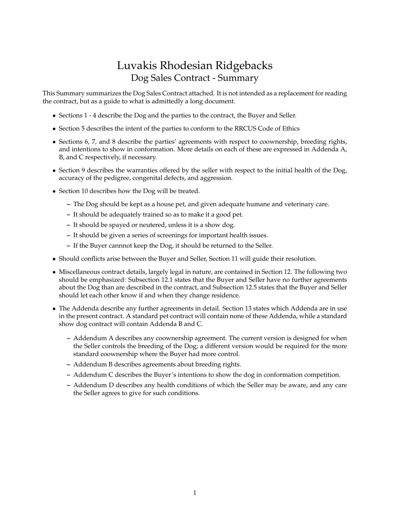# Luvakis Rhodesian Ridgebacks Dog Sales Contract - Summary

This Summary summarizes the Dog Sales Contract attached. It is not intended as a replacement for reading the contract, but as a guide to what is admittedly a long document.

- Sections 1 4 describe the Dog and the parties to the contract, the Buyer and Seller.
- Section 5 describes the intent of the parties to conform to the RRCUS Code of Ethics
- Sections 6, 7, and 8 describe the parties' agreements with respect to coownership, breeding rights, and intentions to show in conformation. More details on each of these are expressed in Addenda A, B, and C respectively, if necessary.
- Section 9 describes the warranties offered by the seller with respect to the initial health of the Dog, accuracy of the pedigree, congenital defects, and aggression.
- Section 10 describes how the Dog will be treated.
	- **–** The Dog should be kept as a house pet, and given adequate humane and veterinary care.
	- **–** It should be adequately trained so as to make it a good pet.
	- **–** It should be spayed or neutered, unless it is a show dog.
	- **–** It should be given a series of screenings for important health issues.
	- **–** If the Buyer cannnot keep the Dog, it should be returned to the Seller.
- Should conflicts arise between the Buyer and Seller, Section 11 will guide their resolution.
- Miscellaneous contract details, largely legal in nature, are contained in Section 12. The following two should be emphasized: Subsection 12.1 states that the Buyer and Seller have no further agreements about the Dog than are described in the contract, and Subsection 12.5 states that the Buyer and Seller should let each other know if and when they change residence.
- The Addenda describe any further agreements in detail. Section 13 states which Addenda are in use in the present contract. A standard pet contract will contain none of these Addenda, while a standard show dog contract will contain Addenda B and C.
	- **–** Addendum A describes any coownership agreement. The current version is designed for when the Seller controls the breeding of the Dog; a different version would be required for the more standard coownership where the Buyer had more control.
	- **–** Addendum B describes agreements about breeding rights.
	- **–** Addendum C describes the Buyer's intentions to show the dog in conformation competition.
	- **–** Addendum D describes any health conditions of which the Seller may be aware, and any care the Seller agrees to give for such conditions.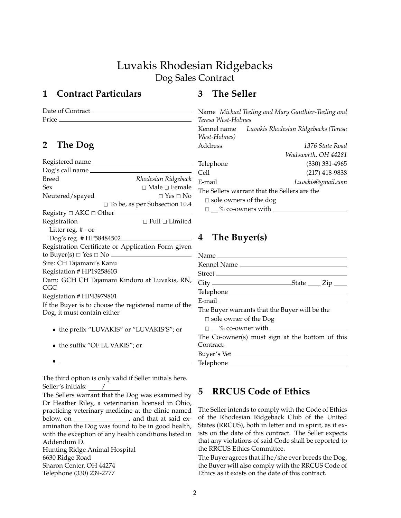# Luvakis Rhodesian Ridgebacks Dog Sales Contract

# **1 Contract Particulars**

Date of Contract Price

# **2 The Dog**

| Registered name                                      |                                 |  |  |  |
|------------------------------------------------------|---------------------------------|--|--|--|
| Dog's call name                                      |                                 |  |  |  |
| Breed                                                | Rhodesian Ridgeback             |  |  |  |
| Sex                                                  | $\sqcap$ Male $\sqcap$ Female   |  |  |  |
| Neutered/spayed                                      | $\Box$ Yes $\Box$ No            |  |  |  |
|                                                      | □ To be, as per Subsection 10.4 |  |  |  |
|                                                      |                                 |  |  |  |
| Registration                                         | $\Box$ Full $\Box$ Limited      |  |  |  |
| Litter reg. # - or                                   |                                 |  |  |  |
| Dog's reg. #HP58484502.                              |                                 |  |  |  |
| Registration Certificate or Application Form given   |                                 |  |  |  |
|                                                      |                                 |  |  |  |
| Sire: CH Tajamani's Kanu                             |                                 |  |  |  |
| Registation #HP19258603                              |                                 |  |  |  |
| Dam: GCH CH Tajamani Kindoro at Luvakis, RN,         |                                 |  |  |  |
| CGC                                                  |                                 |  |  |  |
| Registation # HP43979801                             |                                 |  |  |  |
| If the Buyer is to choose the registered name of the |                                 |  |  |  |
| Dog, it must contain either                          |                                 |  |  |  |
| the prefix "LUVAKIS" or "LUVAKIS'S"; or              |                                 |  |  |  |

- 
- the suffix "OF LUVAKIS"; or

•

The third option is only valid if Seller initials here. Seller's initials: /

The Sellers warrant that the Dog was examined by Dr Heather Riley, a veterinarian licensed in Ohio, practicing veterinary medicine at the clinic named below, on \_\_\_\_\_\_\_\_\_\_\_\_\_\_\_\_\_\_\_, and that at said examination the Dog was found to be in good health, with the exception of any health conditions listed in Addendum D. Hunting Ridge Animal Hospital 6630 Ridge Road Sharon Center, OH 44274 Telephone (330) 239-2777

## **3 The Seller**

Name *Michael Teeling and Mary Gauthier-Teeling and Teresa West-Holmes* Kennel name *Luvakis Rhodesian Ridgebacks (Teresa West-Holmes)* Address *1376 State Road Wadsworth, OH 44281* Telephone (330) 331-4965 Cell (217) 418-9838 E-mail *Luvakis@gmail.com* The Sellers warrant that the Sellers are the  $\square$  sole owners of the dog  $\square$   $\cong$  % co-owners with  $\cong$ 

# **4 The Buyer(s)**

| Street                                          |
|-------------------------------------------------|
|                                                 |
|                                                 |
|                                                 |
| The Buyer warrants that the Buyer will be the   |
| $\Box$ sole owner of the Dog                    |
| $\Box$ % co-owner with $\Box$                   |
| The Co-owner(s) must sign at the bottom of this |
| Contract.                                       |
| Buyer's Vet                                     |
| Telephone                                       |
|                                                 |

# **5 RRCUS Code of Ethics**

The Seller intends to comply with the Code of Ethics of the Rhodesian Ridgeback Club of the United States (RRCUS), both in letter and in spirit, as it exists on the date of this contract. The Seller expects that any violations of said Code shall be reported to the RRCUS Ethics Committee.

The Buyer agrees that if he/she ever breeds the Dog, the Buyer will also comply with the RRCUS Code of Ethics as it exists on the date of this contract.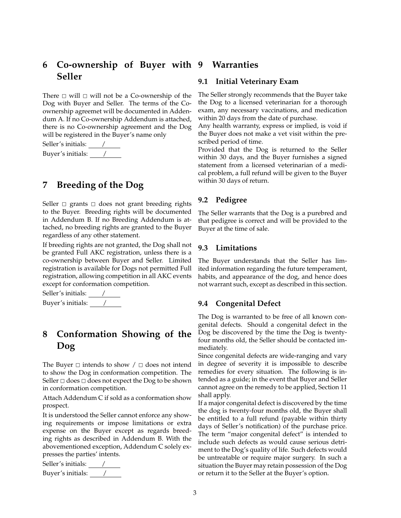# **6 Co-ownership of Buyer with Seller**

There  $\Box$  will  $\Box$  will not be a Co-ownership of the Dog with Buyer and Seller. The terms of the Coownership agreemet will be documented in Addendum A. If no Co-ownership Addendum is attached, there is no Co-ownership agreement and the Dog will be registered in the Buyer's name only

Seller's initials: / Buyer's initials: /

# **7 Breeding of the Dog**

Seller  $\Box$  grants  $\Box$  does not grant breeding rights to the Buyer. Breeding rights will be documented in Addendum B. If no Breeding Addendum is attached, no breeding rights are granted to the Buyer regardless of any other statement.

If breeding rights are not granted, the Dog shall not be granted Full AKC registration, unless there is a co-ownership between Buyer and Seller. Limited registration is available for Dogs not permitted Full registration, allowing competition in all AKC events except for conformation competition.

Seller's initials: <u>/ /</u> Buyer's initials: /

# **8 Conformation Showing of the Dog**

The Buyer  $\Box$  intends to show  $\Box$  does not intend to show the Dog in conformation competition. The Seller  $\Box$  does  $\Box$  does not expect the Dog to be shown in conformation competition.

Attach Addendum C if sold as a conformation show prospect.

It is understood the Seller cannot enforce any showing requirements or impose limitations or extra expense on the Buyer except as regards breeding rights as described in Addendum B. With the abovementioned exception, Addendum C solely expresses the parties' intents.

Seller's initials: <u>/</u> Buyer's initials: <u>/ / /</u>

### **9 Warranties**

#### **9.1 Initial Veterinary Exam**

The Seller strongly recommends that the Buyer take the Dog to a licensed veterinarian for a thorough exam, any necessary vaccinations, and medication within 20 days from the date of purchase.

Any health warranty, express or implied, is void if the Buyer does not make a vet visit within the prescribed period of time.

Provided that the Dog is returned to the Seller within 30 days, and the Buyer furnishes a signed statement from a licensed veterinarian of a medical problem, a full refund will be given to the Buyer within 30 days of return.

#### **9.2 Pedigree**

The Seller warrants that the Dog is a purebred and that pedigree is correct and will be provided to the Buyer at the time of sale.

#### **9.3 Limitations**

The Buyer understands that the Seller has limited information regarding the future temperament, habits, and appearance of the dog, and hence does not warrant such, except as described in this section.

#### **9.4 Congenital Defect**

The Dog is warranted to be free of all known congenital defects. Should a congenital defect in the Dog be discovered by the time the Dog is twentyfour months old, the Seller should be contacted immediately.

Since congenital defects are wide-ranging and vary in degree of severity it is impossible to describe remedies for every situation. The following is intended as a guide; in the event that Buyer and Seller cannot agree on the remedy to be applied, Section 11 shall apply.

If a major congenital defect is discovered by the time the dog is twenty-four months old, the Buyer shall be entitled to a full refund (payable within thirty days of Seller's notification) of the purchase price. The term "major congenital defect" is intended to include such defects as would cause serious detriment to the Dog's quality of life. Such defects would be untreatable or require major surgery. In such a situation the Buyer may retain possession of the Dog or return it to the Seller at the Buyer's option.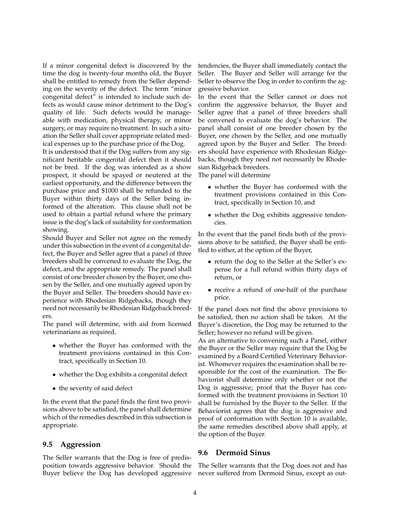If a minor congenital defect is discovered by the time the dog is twenty-four months old, the Buyer shall be entitled to remedy from the Seller depending on the severity of the defect. The term "minor congenital defect" is intended to include such defects as would cause minor detriment to the Dog's quality of life. Such defects would be manageable with medication, physical therapy, or minor surgery, or may require no treatment. In such a situation the Seller shall cover appropriate related medical expenses up to the purchase price of the Dog.

It is understood that if the Dog suffers from any significant heritable congenital defect then it should not be bred. If the dog was intended as a show prospect, it should be spayed or neutered at the earliest opportunity, and the difference between the purchase price and \$1000 shall be refunded to the Buyer within thirty days of the Seller being informed of the alteration. This clause shall not be used to obtain a partial refund where the primary issue is the dog's lack of suitability for conformation showing.

Should Buyer and Seller not agree on the remedy under this subsection in the event of a congenital defect, the Buyer and Seller agree that a panel of three breeders shall be convened to evaluate the Dog, the defect, and the appropriate remedy. The panel shall consist of one breeder chosen by the Buyer, one chosen by the Seller, and one mutually agreed upon by the Buyer and Seller. The breeders should have experience with Rhodesian Ridgebacks, though they need not necessarily be Rhodesian Ridgeback breeders.

The panel will determine, with aid from licensed veterinarians as required,

- whether the Buyer has conformed with the treatment provisions contained in this Contract, specifically in Section 10.
- whether the Dog exhibits a congenital defect
- the severity of said defect

In the event that the panel finds the first two provisions above to be satisfied, the panel shall determine which of the remedies described in this subsection is appropriate.

#### **9.5 Aggression**

The Seller warrants that the Dog is free of predisposition towards aggressive behavior. Should the Buyer believe the Dog has developed aggressive tendencies, the Buyer shall immediately contact the Seller. The Buyer and Seller will arrange for the Seller to observe the Dog in order to confirm the aggressive behavior.

In the event that the Seller cannot or does not confirm the aggressive behavior, the Buyer and Seller agree that a panel of three breeders shall be convened to evaluate the dog's behavior. The panel shall consist of one breeder chosen by the Buyer, one chosen by the Seller, and one mutually agreed upon by the Buyer and Seller. The breeders should have experience with Rhodesian Ridgebacks, though they need not necessarily be Rhodesian Ridgeback breeders.

The panel will determine

- whether the Buyer has conformed with the treatment provisions contained in this Contract, specifically in Section 10, and
- whether the Dog exhibits aggressive tendencies.

In the event that the panel finds both of the provisions above to be satisfied, the Buyer shall be entitled to either, at the option of the Buyer,

- return the dog to the Seller at the Seller's expense for a full refund within thirty days of return, or
- receive a refund of one-half of the purchase price.

If the panel does not find the above provisions to be satisfied, then no action shall be taken. At the Buyer's discretion, the Dog may be returned to the Seller; however no refund will be given.

As an alternative to convening such a Panel, either the Buyer or the Seller may require that the Dog be examined by a Board Certified Veterinary Behaviorist. Whomever requires the examination shall be responsible for the cost of the examination. The Behaviorist shall determine only whether or not the Dog is aggressive; proof that the Buyer has conformed with the treatment provisions in Section 10 shall be furnished by the Buyer to the Seller. If the Behaviorist agrees that the dog is aggressive and proof of conformation with Section 10 is available, the same remedies described above shall apply, at the option of the Buyer.

#### **9.6 Dermoid Sinus**

The Seller warrants that the Dog does not and has never suffered from Dermoid Sinus, except as out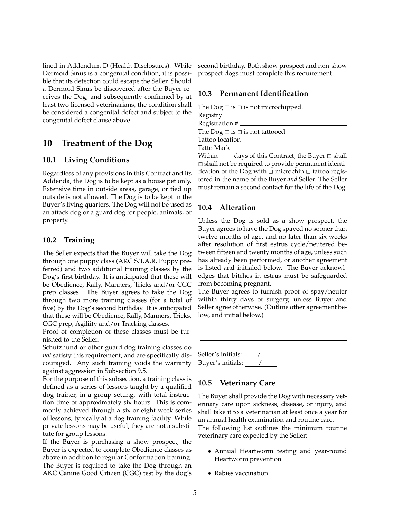lined in Addendum D (Health Disclosures). While Dermoid Sinus is a congenital condition, it is possible that its detection could escape the Seller. Should a Dermoid Sinus be discovered after the Buyer receives the Dog, and subsequently confirmed by at least two licensed veterinarians, the condition shall be considered a congenital defect and subject to the congenital defect clause above.

## **10 Treatment of the Dog**

#### **10.1 Living Conditions**

Regardless of any provisions in this Contract and its Addenda, the Dog is to be kept as a house pet only. Extensive time in outside areas, garage, or tied up outside is not allowed. The Dog is to be kept in the Buyer's living quarters. The Dog will not be used as an attack dog or a guard dog for people, animals, or property.

#### **10.2 Training**

The Seller expects that the Buyer will take the Dog through one puppy class (AKC S.T.A.R. Puppy preferred) and two additional training classes by the Dog's first birthday. It is anticipated that these will be Obedience, Rally, Manners, Tricks and/or CGC prep classes. The Buyer agrees to take the Dog through two more training classes (for a total of five) by the Dog's second birthday. It is anticipated that these will be Obedience, Rally, Manners, Tricks, CGC prep, Agiliity and/or Tracking classes.

Proof of completion of these classes must be furnished to the Seller.

Schutzhund or other guard dog training classes do *not* satisfy this requirement, and are specifically discouraged. Any such training voids the warranty against aggression in Subsection 9.5.

For the purpose of this subsection, a training class is defined as a series of lessons taught by a qualified dog trainer, in a group setting, with total instruction time of approximately six hours. This is commonly achieved through a six or eight week series of lessons, typically at a dog training facility. While private lessons may be useful, they are not a substitute for group lessons.

If the Buyer is purchasing a show prospect, the Buyer is expected to complete Obedience classes as above in addition to regular Conformation training. The Buyer is required to take the Dog through an AKC Canine Good Citizen (CGC) test by the dog's second birthday. Both show prospect and non-show prospect dogs must complete this requirement.

#### **10.3 Permanent Identification**

The Dog  $\Box$  is  $\Box$  is not microchipped.

| The Dog $\Box$ is $\Box$ is not tattooed                                                      |  |  |  |
|-----------------------------------------------------------------------------------------------|--|--|--|
| Tattoo location                                                                               |  |  |  |
| Tatto Mark <b>Takabu</b>                                                                      |  |  |  |
| $\mathbf{u} \cdot \mathbf{u} \cdot \mathbf{v} = \mathbf{u} \cdot \mathbf{u} \cdot \mathbf{v}$ |  |  |  |

Within  $\rule{1em}{0.15mm}$  days of this Contract, the Buyer  $\Box$  shall  $\Box$  shall not be required to provide permanent identification of the Dog with  $\Box$  microchip  $\Box$  tattoo registered in the name of the Buyer *and* Seller. The Seller must remain a second contact for the life of the Dog.

#### **10.4 Alteration**

Unless the Dog is sold as a show prospect, the Buyer agrees to have the Dog spayed no sooner than twelve months of age, and no later than six weeks after resolution of first estrus cycle/neutered between fifteen and twenty months of age, unless such has already been performed, or another agreement is listed and initialed below. The Buyer acknowledges that bitches in estrus must be safeguarded from becoming pregnant.

The Buyer agrees to furnish proof of spay/neuter within thirty days of surgery, unless Buyer and Seller agree otherwise. (Outline other agreement below, and initial below.)

| Seller's initials: |  |  |
|--------------------|--|--|
| Buyer's initials:  |  |  |

### **10.5 Veterinary Care**

The Buyer shall provide the Dog with necessary veterinary care upon sickness, disease, or injury, and shall take it to a veterinarian at least once a year for an annual health examination and routine care. The following list outlines the minimum routine veterinary care expected by the Seller:

- Annual Heartworm testing and year-round Heartworm prevention
- Rabies vaccination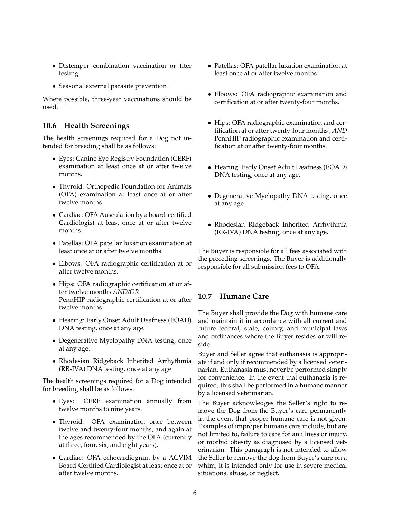- Distemper combination vaccination or titer testing
- Seasonal external parasite prevention

Where possible, three-year vaccinations should be used.

### **10.6 Health Screenings**

The health screenings required for a Dog not intended for breeding shall be as follows:

- Eyes: Canine Eye Registry Foundation (CERF) examination at least once at or after twelve months.
- Thyroid: Orthopedic Foundation for Animals (OFA) examination at least once at or after twelve months.
- Cardiac: OFA Ausculation by a board-certified Cardiologist at least once at or after twelve months.
- Patellas: OFA patellar luxation examination at least once at or after twelve months.
- Elbows: OFA radiographic certification at or after twelve months.
- Hips: OFA radiographic certification at or after twelve months *AND/OR* PennHIP radiographic certification at or after twelve months.
- Hearing: Early Onset Adult Deafness (EOAD) DNA testing, once at any age.
- Degenerative Myelopathy DNA testing, once at any age.
- Rhodesian Ridgeback Inherited Arrhythmia (RR-IVA) DNA testing, once at any age.

The health screenings required for a Dog intended for breeding shall be as follows:

- Eyes: CERF examination annually from twelve months to nine years.
- Thyroid: OFA examination once between twelve and twenty-four months, and again at the ages recommended by the OFA (currently at three, four, six, and eight years).
- Cardiac: OFA echocardiogram by a ACVIM Board-Certified Cardiologist at least once at or after twelve months.
- Patellas: OFA patellar luxation examination at least once at or after twelve months.
- Elbows: OFA radiographic examination and certification at or after twenty-four months.
- Hips: OFA radiographic examination and certification at or after twenty-four months , *AND* PennHIP radiographic examination and certification at or after twenty-four months.
- Hearing: Early Onset Adult Deafness (EOAD) DNA testing, once at any age.
- Degenerative Myelopathy DNA testing, once at any age.
- Rhodesian Ridgeback Inherited Arrhythmia (RR-IVA) DNA testing, once at any age.

The Buyer is responsible for all fees associated with the preceding screenings. The Buyer is additionally responsible for all submission fees to OFA.

## **10.7 Humane Care**

The Buyer shall provide the Dog with humane care and maintain it in accordance with all current and future federal, state, county, and municipal laws and ordinances where the Buyer resides or will reside.

Buyer and Seller agree that euthanasia is appropriate if and only if recommended by a licensed veterinarian. Euthanasia must never be performed simply for convenience. In the event that euthanasia is required, this shall be performed in a humane manner by a licensed veterinarian.

The Buyer acknowledges the Seller's right to remove the Dog from the Buyer's care permanently in the event that proper humane care is not given. Examples of improper humane care include, but are not limited to, failure to care for an illness or injury, or morbid obesity as diagnosed by a licensed veterinarian. This paragraph is not intended to allow the Seller to remove the dog from Buyer's care on a whim; it is intended only for use in severe medical situations, abuse, or neglect.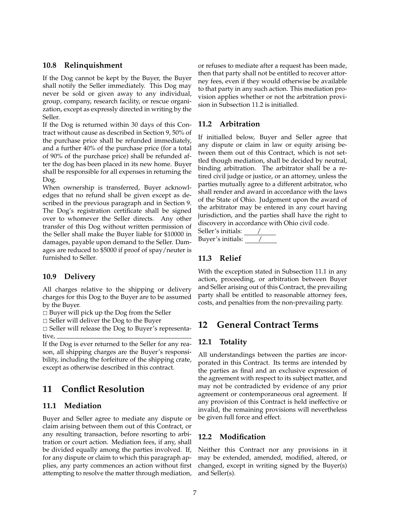#### **10.8 Relinquishment**

If the Dog cannot be kept by the Buyer, the Buyer shall notify the Seller immediately. This Dog may never be sold or given away to any individual, group, company, research facility, or rescue organization, except as expressly directed in writing by the Seller.

If the Dog is returned within 30 days of this Contract without cause as described in Section 9, 50% of the purchase price shall be refunded immediately, and a further 40% of the purchase price (for a total of 90% of the purchase price) shall be refunded after the dog has been placed in its new home. Buyer shall be responsible for all expenses in returning the Dog.

When ownership is transferred, Buyer acknowledges that no refund shall be given except as described in the previous paragraph and in Section 9. The Dog's registration certificate shall be signed over to whomever the Seller directs. Any other transfer of this Dog without written permission of the Seller shall make the Buyer liable for \$10000 in damages, payable upon demand to the Seller. Damages are reduced to \$5000 if proof of spay/neuter is furnished to Seller.

#### **10.9 Delivery**

All charges relative to the shipping or delivery charges for this Dog to the Buyer are to be assumed by the Buyer.

 $\square$  Buyer will pick up the Dog from the Seller

 $\Box$  Seller will deliver the Dog to the Buyer

 $\square$  Seller will release the Dog to Buyer's representative,

If the Dog is ever returned to the Seller for any reason, all shipping charges are the Buyer's responsibility, including the forfeiture of the shipping crate, except as otherwise described in this contract.

## **11 Conflict Resolution**

#### **11.1 Mediation**

Buyer and Seller agree to mediate any dispute or claim arising between them out of this Contract, or any resulting transaction, before resorting to arbitration or court action. Mediation fees, if any, shall be divided equally among the parties involved. If, for any dispute or claim to which this paragraph applies, any party commences an action without first attempting to resolve the matter through mediation,

or refuses to mediate after a request has been made, then that party shall not be entitled to recover attorney fees, even if they would otherwise be available to that party in any such action. This mediation provision applies whether or not the arbitration provision in Subsection 11.2 is initialled.

#### **11.2 Arbitration**

If initialled below, Buyer and Seller agree that any dispute or claim in law or equity arising between them out of this Contract, which is not settled though mediation, shall be decided by neutral, binding arbitration. The arbitrator shall be a retired civil judge or justice, or an attorney, unless the parties mutually agree to a different arbitrator, who shall render and award in accordance with the laws of the State of Ohio. Judgement upon the award of the arbitrator may be entered in any court having jurisdiction, and the parties shall have the right to discovery in accordance with Ohio civil code.

Seller's initials: <u>/</u> Buyer's initials: /

#### **11.3 Relief**

With the exception stated in Subsection 11.1 in any action, proceeding, or arbitration between Buyer and Seller arising out of this Contract, the prevailing party shall be entitled to reasonable attorney fees, costs, and penalties from the non-prevailing party.

## **12 General Contract Terms**

#### **12.1 Totality**

All understandings between the parties are incorporated in this Contract. Its terms are intended by the parties as final and an exclusive expression of the agreement with respect to its subject matter, and may not be contradicted by evidence of any prior agreement or contemporaneous oral agreement. If any provision of this Contract is held ineffective or invalid, the remaining provisions will nevertheless be given full force and effect.

#### **12.2 Modification**

Neither this Contract nor any provisions in it may be extended, amended, modified, altered, or changed, except in writing signed by the Buyer(s) and Seller(s).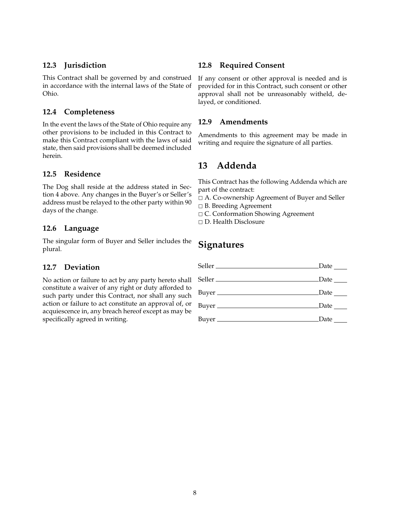#### **12.3 Jurisdiction**

This Contract shall be governed by and construed in accordance with the internal laws of the State of Ohio.

### **12.4 Completeness**

In the event the laws of the State of Ohio require any other provisions to be included in this Contract to make this Contract compliant with the laws of said state, then said provisions shall be deemed included herein.

#### **12.5 Residence**

The Dog shall reside at the address stated in Section 4 above. Any changes in the Buyer's or Seller's address must be relayed to the other party within 90 days of the change.

#### **12.6 Language**

The singular form of Buyer and Seller includes the plural.

#### **12.7 Deviation**

No action or failure to act by any party hereto shall constitute a waiver of any right or duty afforded to such party under this Contract, nor shall any such action or failure to act constitute an approval of, or acquiescence in, any breach hereof except as may be specifically agreed in writing.

#### **12.8 Required Consent**

If any consent or other approval is needed and is provided for in this Contract, such consent or other approval shall not be unreasonably witheld, delayed, or conditioned.

#### **12.9 Amendments**

Amendments to this agreement may be made in writing and require the signature of all parties.

## **13 Addenda**

This Contract has the following Addenda which are part of the contract:

- 2 A. Co-ownership Agreement of Buyer and Seller
- $\Box$  B. Breeding Agreement
- 2 C. Conformation Showing Agreement
- 2 D. Health Disclosure

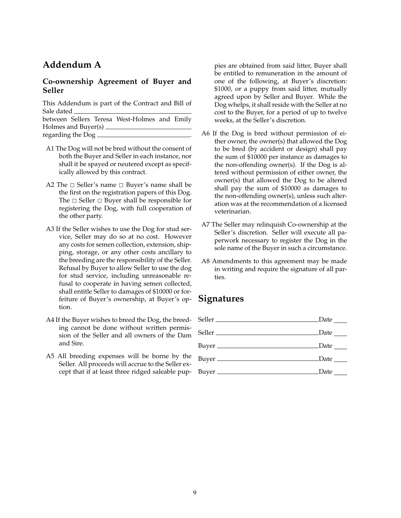# **Addendum A**

### **Co-ownership Agreement of Buyer and Seller**

This Addendum is part of the Contract and Bill of Sale dated between Sellers Teresa West-Holmes and Emily

Holmes and Buyer(s) regarding the Dog .

- A1 The Dog will not be bred without the consent of both the Buyer and Seller in each instance, nor shall it be spayed or neutered except as specifically allowed by this contract.
- A2 The  $\Box$  Seller's name  $\Box$  Buyer's name shall be the first on the registration papers of this Dog. The  $\Box$  Seller  $\Box$  Buyer shall be responsible for registering the Dog, with full cooperation of the other party.
- A3 If the Seller wishes to use the Dog for stud service, Seller may do so at no cost. However any costs for semen collection, extension, shipping, storage, or any other costs ancillary to the breeding are the responsibility of the Seller. Refusal by Buyer to allow Seller to use the dog for stud service, including unreasonable refusal to cooperate in having semen collected, shall entitle Seller to damages of \$10000 or forfeiture of Buyer's ownership, at Buyer's option.
- A4 If the Buyer wishes to breed the Dog, the breeding cannot be done without written permission of the Seller and all owners of the Dam and Sire.
- A5 All breeding expenses will be borne by the Seller. All proceeds will accrue to the Seller except that if at least three ridged saleable pup-

pies are obtained from said litter, Buyer shall be entitled to remuneration in the amount of one of the following, at Buyer's discretion: \$1000, or a puppy from said litter, mutually agreed upon by Seller and Buyer. While the Dog whelps, it shall reside with the Seller at no cost to the Buyer, for a period of up to twelve weeks, at the Seller's discretion.

- A6 If the Dog is bred without permission of either owner, the owner(s) that allowed the Dog to be bred (by accident or design) shall pay the sum of \$10000 per instance as damages to the non-offending owner(s). If the Dog is altered without permission of either owner, the owner(s) that allowed the Dog to be altered shall pay the sum of \$10000 as damages to the non-offending owner(s), unless such alteration was at the recommendation of a licensed veterinarian.
- A7 The Seller may relinquish Co-ownership at the Seller's discretion. Seller will execute all paperwork necessary to register the Dog in the sole name of the Buyer in such a circumstance.
- A8 Amendments to this agreement may be made in writing and require the signature of all parties.

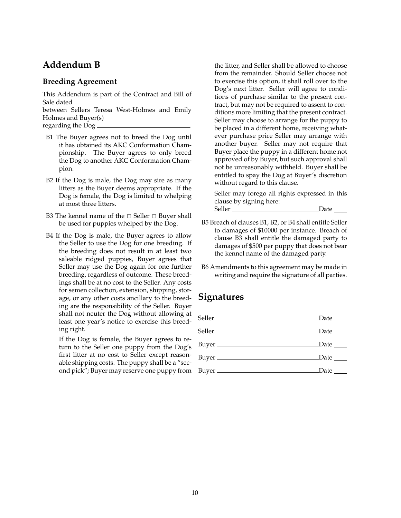## **Addendum B**

#### **Breeding Agreement**

This Addendum is part of the Contract and Bill of Sale dated

between Sellers Teresa West-Holmes and Emily Holmes and Buyer(s) regarding the Dog .

- B1 The Buyer agrees not to breed the Dog until it has obtained its AKC Conformation Championship. The Buyer agrees to only breed the Dog to another AKC Conformation Champion.
- B2 If the Dog is male, the Dog may sire as many litters as the Buyer deems appropriate. If the Dog is female, the Dog is limited to whelping at most three litters.
- B3 The kennel name of the  $\Box$  Seller  $\Box$  Buyer shall be used for puppies whelped by the Dog.
- B4 If the Dog is male, the Buyer agrees to allow the Seller to use the Dog for one breeding. If the breeding does not result in at least two saleable ridged puppies, Buyer agrees that Seller may use the Dog again for one further breeding, regardless of outcome. These breedings shall be at no cost to the Seller. Any costs for semen collection, extension, shipping, storage, or any other costs ancillary to the breeding are the responsibility of the Seller. Buyer shall not neuter the Dog without allowing at least one year's notice to exercise this breeding right.

If the Dog is female, the Buyer agrees to return to the Seller one puppy from the Dog's first litter at no cost to Seller except reasonable shipping costs. The puppy shall be a "second pick"; Buyer may reserve one puppy from

the litter, and Seller shall be allowed to choose from the remainder. Should Seller choose not to exercise this option, it shall roll over to the Dog's next litter. Seller will agree to conditions of purchase similar to the present contract, but may not be required to assent to conditions more limiting that the present contract. Seller may choose to arrange for the puppy to be placed in a different home, receiving whatever purchase price Seller may arrange with another buyer. Seller may not require that Buyer place the puppy in a different home not approved of by Buyer, but such approval shall not be unreasonably withheld. Buyer shall be entitled to spay the Dog at Buyer's discretion without regard to this clause.

Seller may forego all rights expressed in this clause by signing here: Seller Date Date

- B5 Breach of clauses B1, B2, or B4 shall entitle Seller to damages of \$10000 per instance. Breach of clause B3 shall entitle the damaged party to damages of \$500 per puppy that does not bear the kennel name of the damaged party.
- B6 Amendments to this agreement may be made in writing and require the signature of all parties.

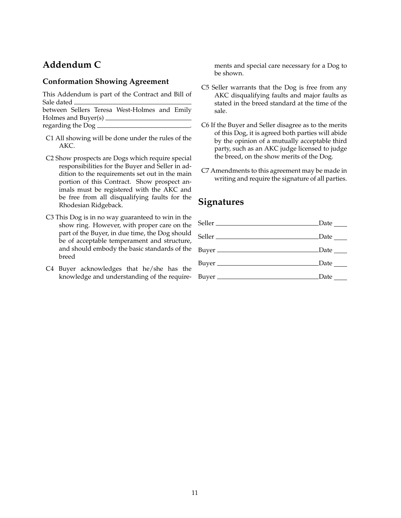# **Addendum C**

#### **Conformation Showing Agreement**

This Addendum is part of the Contract and Bill of Sale dated

between Sellers Teresa West-Holmes and Emily Holmes and Buyer(s) regarding the Dog .

- C1 All showing will be done under the rules of the AKC.
- C2 Show prospects are Dogs which require special responsibilities for the Buyer and Seller in addition to the requirements set out in the main portion of this Contract. Show prospect animals must be registered with the AKC and be free from all disqualifying faults for the Rhodesian Ridgeback.
- C3 This Dog is in no way guaranteed to win in the show ring. However, with proper care on the part of the Buyer, in due time, the Dog should be of acceptable temperament and structure, and should embody the basic standards of the breed
- C4 Buyer acknowledges that he/she has the knowledge and understanding of the require-

ments and special care necessary for a Dog to be shown.

- C5 Seller warrants that the Dog is free from any AKC disqualifying faults and major faults as stated in the breed standard at the time of the sale.
- C6 If the Buyer and Seller disagree as to the merits of this Dog, it is agreed both parties will abide by the opinion of a mutually acceptable third party, such as an AKC judge licensed to judge the breed, on the show merits of the Dog.
- C7 Amendments to this agreement may be made in writing and require the signature of all parties.